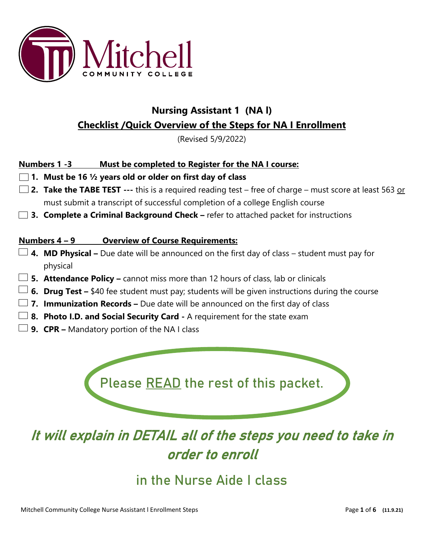

## **Nursing Assistant 1 (NA l)**

### **Checklist /Quick Overview of the Steps for NA I Enrollment**

(Revised 5/9/2022)

#### **Numbers 1 -3 Must be completed to Register for the NA I course:**

**1. Must be 16 ½ years old or older on first day of class**

- **2. Take the TABE TEST ---** this is a required reading test free of charge must score at least 563 or must submit a transcript of successful completion of a college English course
- **3. Complete a Criminal Background Check –** refer to attached packet for instructions

#### **Numbers 4 – 9 Overview of Course Requirements:**

- **4. MD Physical –** Due date will be announced on the first day of class student must pay for physical
- **5. Attendance Policy –** cannot miss more than 12 hours of class, lab or clinicals
- **6. Drug Test** \$40 fee student must pay; students will be given instructions during the course
- **7. Immunization Records –** Due date will be announced on the first day of class
- **8. Photo I.D. and Social Security Card -** A requirement for the state exam
- **9. CPR –** Mandatory portion of the NA I class

Please READ the rest of this packet.

# It will explain in DETAIL all of the steps you need to take in order to enroll

## in the Nurse Aide I class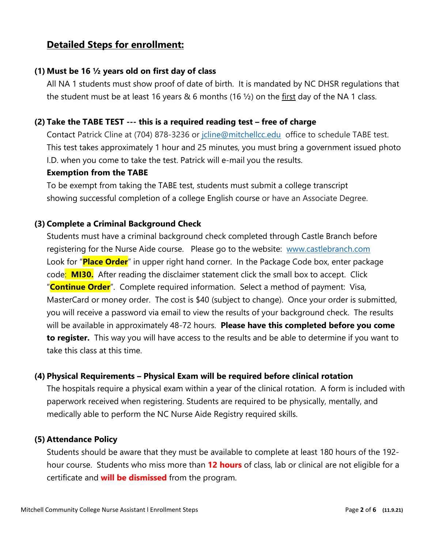## **Detailed Steps for enrollment:**

#### **(1) Must be 16 ½ years old on first day of class**

All NA 1 students must show proof of date of birth. It is mandated by NC DHSR regulations that the student must be at least 16 years & 6 months (16  $\frac{1}{2}$ ) on the first day of the NA 1 class.

#### **(2) Take the TABE TEST --- this is a required reading test – free of charge**

Contact Patrick Cline at (704) 878-3236 or joline@mitchellcc.edu office to schedule TABE test. This test takes approximately 1 hour and 25 minutes, you must bring a government issued photo I.D. when you come to take the test. Patrick will e-mail you the results.

#### **Exemption from the TABE**

To be exempt from taking the TABE test, students must submit a college transcript showing successful completion of a college English course or have an Associate Degree.

#### **(3) Complete a Criminal Background Check**

Students must have a criminal background check completed through Castle Branch before registering for the Nurse Aide course.Please go to the website: [www.castlebranch.com](http://www.castlebranch.com/) Look for "**Place Order**" in upper right hand corner. In the Package Code box, enter package code: **MI30.** After reading the disclaimer statement click the small box to accept. Click "**Continue Order**". Complete required information. Select a method of payment: Visa, MasterCard or money order. The cost is \$40 (subject to change). Once your order is submitted, you will receive a password via email to view the results of your background check. The results will be available in approximately 48-72 hours. **Please have this completed before you come to register.** This way you will have access to the results and be able to determine if you want to take this class at this time.

#### **(4) Physical Requirements – Physical Exam will be required before clinical rotation**

The hospitals require a physical exam within a year of the clinical rotation. A form is included with paperwork received when registering. Students are required to be physically, mentally, and medically able to perform the NC Nurse Aide Registry required skills.

#### **(5) Attendance Policy**

Students should be aware that they must be available to complete at least 180 hours of the 192 hour course. Students who miss more than **12 hours** of class, lab or clinical are not eligible for a certificate and **will be dismissed** from the program.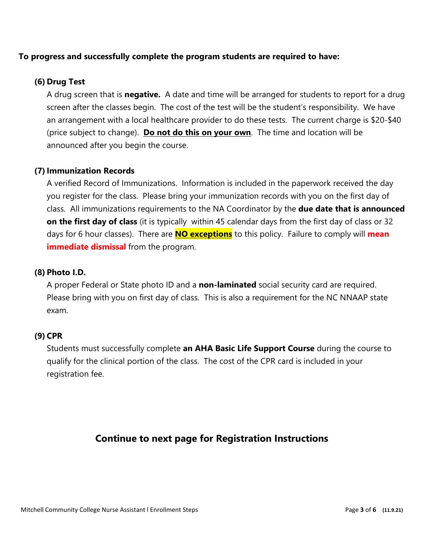#### **To progress and successfully complete the program students are required to have:**

#### **(6) Drug Test**

A drug screen that is **negative.** A date and time will be arranged for students to report for a drug screen after the classes begin. The cost of the test will be the student's responsibility. We have an arrangement with a local healthcare provider to do these tests. The current charge is \$20-\$40 (price subject to change). **Do not do this on your own**. The time and location will be announced after you begin the course.

#### **(7)Immunization Records**

A verified Record of Immunizations. Information is included in the paperwork received the day you register for the class. Please bring your immunization records with you on the first day of class. All immunizations requirements to the NA Coordinator by the **due date that is announced on the first day of class** (it is typically within 45 calendar days from the first day of class or 32 days for 6 hour classes). There are **NO exceptions** to this policy. Failure to comply will **mean immediate dismissal** from the program.

#### **(8) Photo I.D.**

A proper Federal or State photo ID and a **non-laminated** social security card are required. Please bring with you on first day of class. This is also a requirement for the NC NNAAP state exam.

#### **(9) CPR**

Students must successfully complete **an AHA Basic Life Support Course** during the course to qualify for the clinical portion of the class. The cost of the CPR card is included in your registration fee.

#### **Continue to next page for Registration Instructions**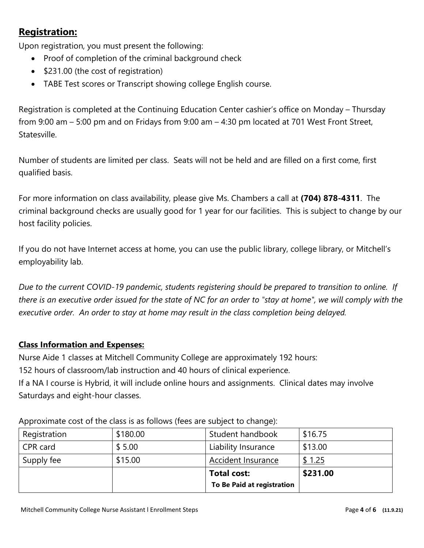## **Registration:**

Upon registration, you must present the following:

- Proof of completion of the criminal background check
- \$231.00 (the cost of registration)
- TABE Test scores or Transcript showing college English course.

Registration is completed at the Continuing Education Center cashier's office on Monday – Thursday from 9:00 am – 5:00 pm and on Fridays from 9:00 am – 4:30 pm located at 701 West Front Street, Statesville.

Number of students are limited per class. Seats will not be held and are filled on a first come, first qualified basis.

For more information on class availability, please give Ms. Chambers a call at **(704) 878-4311**. The criminal background checks are usually good for 1 year for our facilities. This is subject to change by our host facility policies.

If you do not have Internet access at home, you can use the public library, college library, or Mitchell's employability lab.

*Due to the current COVID-19 pandemic, students registering should be prepared to transition to online. If there is an executive order issued for the state of NC for an order to "stay at home", we will comply with the executive order. An order to stay at home may result in the class completion being delayed.* 

#### **Class Information and Expenses:**

Nurse Aide 1 classes at Mitchell Community College are approximately 192 hours:

152 hours of classroom/lab instruction and 40 hours of clinical experience.

If a NA I course is Hybrid, it will include online hours and assignments. Clinical dates may involve Saturdays and eight-hour classes.

|              |          | To Be Paid at registration |          |
|--------------|----------|----------------------------|----------|
|              |          | <b>Total cost:</b>         | \$231.00 |
| Supply fee   | \$15.00  | <b>Accident Insurance</b>  | \$1.25   |
| CPR card     | \$5.00   | Liability Insurance        | \$13.00  |
| Registration | \$180.00 | Student handbook           | \$16.75  |
|              |          |                            |          |

Approximate cost of the class is as follows (fees are subject to change):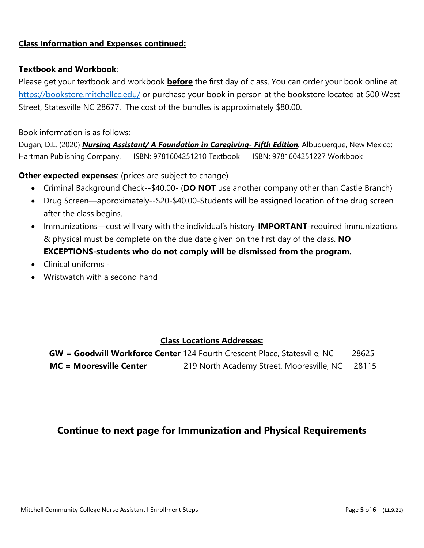#### **Class Information and Expenses continued:**

#### **Textbook and Workbook**:

Please get your textbook and workbook **before** the first day of class. You can order your book online at <https://bookstore.mitchellcc.edu/> or purchase your book in person at the bookstore located at 500 West Street, Statesville NC 28677. The cost of the bundles is approximately \$80.00.

#### Book information is as follows:

Dugan, D.L. (2020) *Nursing Assistant/ A Foundation in Caregiving- Fifth Edition.* Albuquerque, New Mexico: Hartman Publishing Company. ISBN: 9781604251210 Textbook ISBN: 9781604251227 Workbook

**Other expected expenses:** (prices are subject to change)

- Criminal Background Check--\$40.00- (**DO NOT** use another company other than Castle Branch)
- Drug Screen—approximately--\$20-\$40.00-Students will be assigned location of the drug screen after the class begins.
- Immunizations—cost will vary with the individual's history-**IMPORTANT**-required immunizations & physical must be complete on the due date given on the first day of the class. **NO EXCEPTIONS-students who do not comply will be dismissed from the program.**
- Clinical uniforms -
- Wristwatch with a second hand

#### **Class Locations Addresses:**

**GW = Goodwill Workforce Center** 124 Fourth Crescent Place, Statesville, NC 28625 **MC = Mooresville Center** 219 North Academy Street, Mooresville, NC 28115

#### **Continue to next page for Immunization and Physical Requirements**